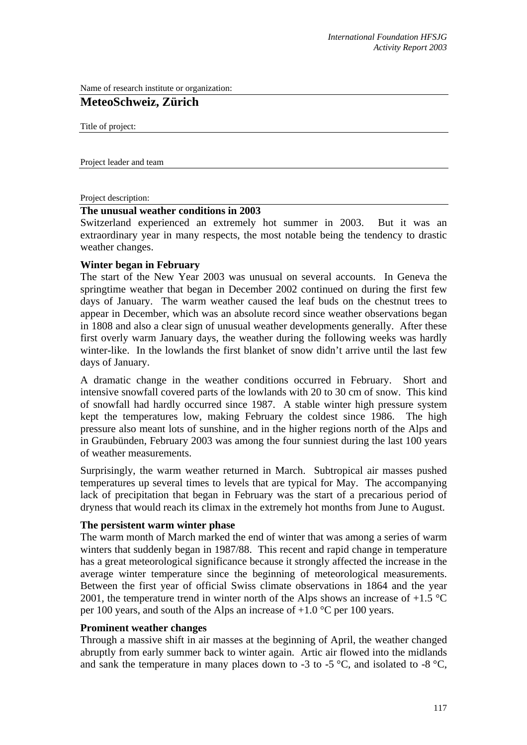Name of research institute or organization:

# **MeteoSchweiz, Zürich**

Title of project:

Project leader and team

Project description:

## **The unusual weather conditions in 2003**

Switzerland experienced an extremely hot summer in 2003. But it was an extraordinary year in many respects, the most notable being the tendency to drastic weather changes.

## **Winter began in February**

The start of the New Year 2003 was unusual on several accounts. In Geneva the springtime weather that began in December 2002 continued on during the first few days of January. The warm weather caused the leaf buds on the chestnut trees to appear in December, which was an absolute record since weather observations began in 1808 and also a clear sign of unusual weather developments generally. After these first overly warm January days, the weather during the following weeks was hardly winter-like. In the lowlands the first blanket of snow didn't arrive until the last few days of January.

A dramatic change in the weather conditions occurred in February. Short and intensive snowfall covered parts of the lowlands with 20 to 30 cm of snow. This kind of snowfall had hardly occurred since 1987. A stable winter high pressure system kept the temperatures low, making February the coldest since 1986. The high pressure also meant lots of sunshine, and in the higher regions north of the Alps and in Graubünden, February 2003 was among the four sunniest during the last 100 years of weather measurements.

Surprisingly, the warm weather returned in March. Subtropical air masses pushed temperatures up several times to levels that are typical for May. The accompanying lack of precipitation that began in February was the start of a precarious period of dryness that would reach its climax in the extremely hot months from June to August.

#### **The persistent warm winter phase**

The warm month of March marked the end of winter that was among a series of warm winters that suddenly began in 1987/88. This recent and rapid change in temperature has a great meteorological significance because it strongly affected the increase in the average winter temperature since the beginning of meteorological measurements. Between the first year of official Swiss climate observations in 1864 and the year 2001, the temperature trend in winter north of the Alps shows an increase of  $+1.5$  °C per 100 years, and south of the Alps an increase of  $+1.0$  °C per 100 years.

# **Prominent weather changes**

Through a massive shift in air masses at the beginning of April, the weather changed abruptly from early summer back to winter again. Artic air flowed into the midlands and sank the temperature in many places down to -3 to -5  $^{\circ}$ C, and isolated to -8  $^{\circ}$ C,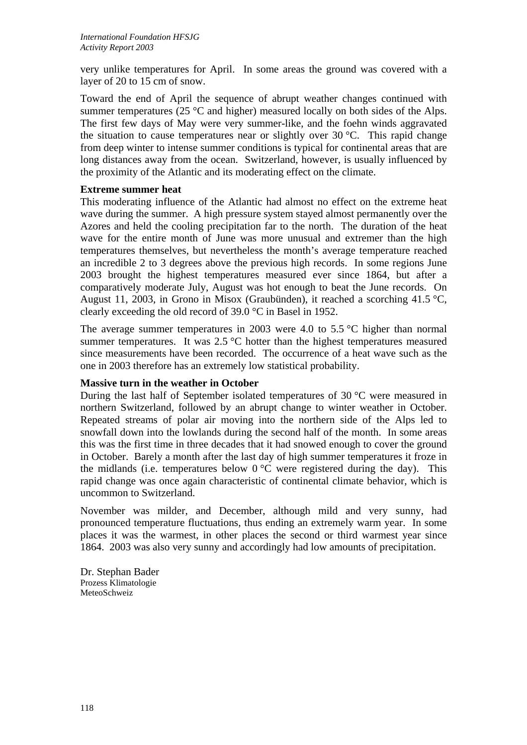very unlike temperatures for April. In some areas the ground was covered with a layer of 20 to 15 cm of snow.

Toward the end of April the sequence of abrupt weather changes continued with summer temperatures (25 $\degree$ C and higher) measured locally on both sides of the Alps. The first few days of May were very summer-like, and the foehn winds aggravated the situation to cause temperatures near or slightly over  $30^{\circ}$ C. This rapid change from deep winter to intense summer conditions is typical for continental areas that are long distances away from the ocean. Switzerland, however, is usually influenced by the proximity of the Atlantic and its moderating effect on the climate.

# **Extreme summer heat**

This moderating influence of the Atlantic had almost no effect on the extreme heat wave during the summer. A high pressure system stayed almost permanently over the Azores and held the cooling precipitation far to the north. The duration of the heat wave for the entire month of June was more unusual and extremer than the high temperatures themselves, but nevertheless the month's average temperature reached an incredible 2 to 3 degrees above the previous high records. In some regions June 2003 brought the highest temperatures measured ever since 1864, but after a comparatively moderate July, August was hot enough to beat the June records. On August 11, 2003, in Grono in Misox (Graubünden), it reached a scorching 41.5 °C, clearly exceeding the old record of 39.0 °C in Basel in 1952.

The average summer temperatures in 2003 were 4.0 to 5.5  $\degree$ C higher than normal summer temperatures. It was  $2.5 \text{ °C}$  hotter than the highest temperatures measured since measurements have been recorded. The occurrence of a heat wave such as the one in 2003 therefore has an extremely low statistical probability.

# **Massive turn in the weather in October**

During the last half of September isolated temperatures of 30 °C were measured in northern Switzerland, followed by an abrupt change to winter weather in October. Repeated streams of polar air moving into the northern side of the Alps led to snowfall down into the lowlands during the second half of the month. In some areas this was the first time in three decades that it had snowed enough to cover the ground in October. Barely a month after the last day of high summer temperatures it froze in the midlands (i.e. temperatures below  $0^{\circ}$ C were registered during the day). This rapid change was once again characteristic of continental climate behavior, which is uncommon to Switzerland.

November was milder, and December, although mild and very sunny, had pronounced temperature fluctuations, thus ending an extremely warm year. In some places it was the warmest, in other places the second or third warmest year since 1864. 2003 was also very sunny and accordingly had low amounts of precipitation.

Dr. Stephan Bader Prozess Klimatologie MeteoSchweiz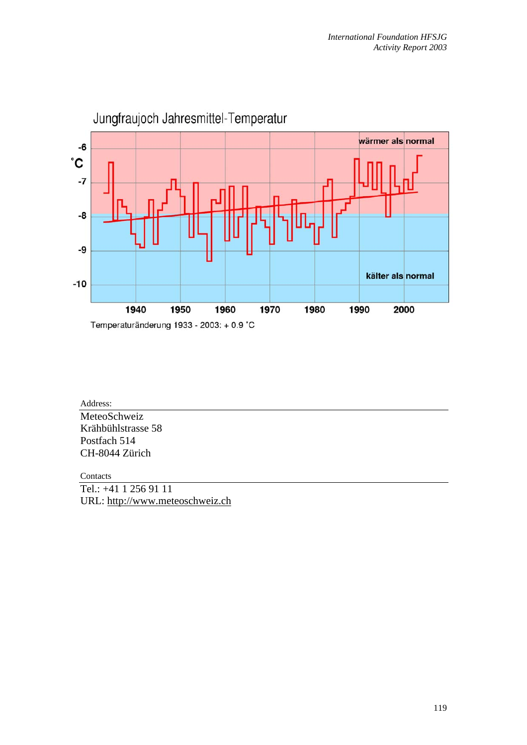

Address: **MeteoSchweiz** Krähbühlstrasse 58 Postfach 514 CH-8044 Zürich

Contacts

Tel.: +41 1 256 91 11 URL: http://www.meteoschweiz.ch